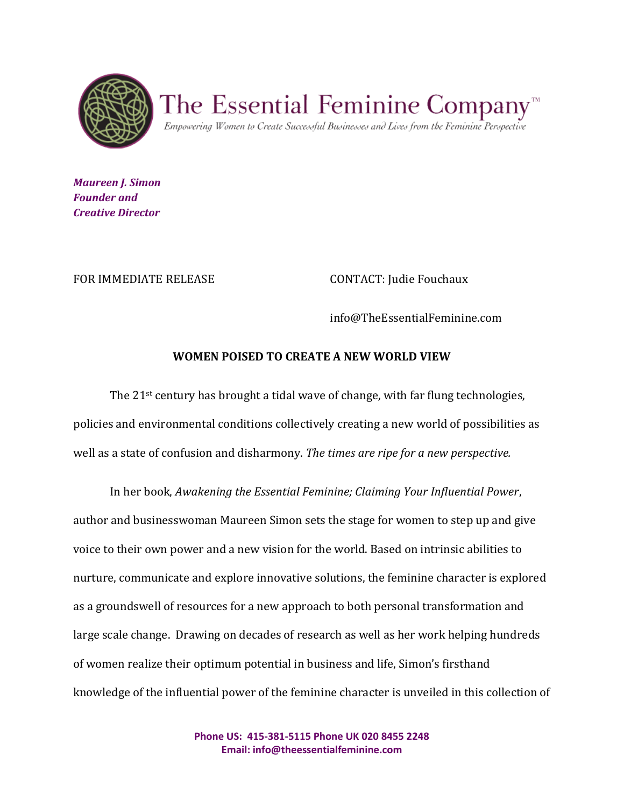

The Essential Feminine Company

Empowering Women to Create Successful Businesses and Lives from the Feminine Perspective

*Maureen J. Simon Founder and Creative Director*

FOR IMMEDIATE RELEASE CONTACT: Judie Fouchaux

info@TheEssentialFeminine.com

## **WOMEN POISED TO CREATE A NEW WORLD VIEW**

The 21st century has brought a tidal wave of change, with far flung technologies, policies and environmental conditions collectively creating a new world of possibilities as well as a state of confusion and disharmony. *The times are ripe for a new perspective.* 

In her book, *Awakening the Essential Feminine; Claiming Your Influential Power*, author and businesswoman Maureen Simon sets the stage for women to step up and give voice to their own power and a new vision for the world. Based on intrinsic abilities to nurture, communicate and explore innovative solutions, the feminine character is explored as a groundswell of resources for a new approach to both personal transformation and large scale change. Drawing on decades of research as well as her work helping hundreds of women realize their optimum potential in business and life, Simon's firsthand knowledge of the influential power of the feminine character is unveiled in this collection of

> **Phone US: 415-381-5115 Phone UK 020 8455 2248 Email: info@theessentialfeminine.com**